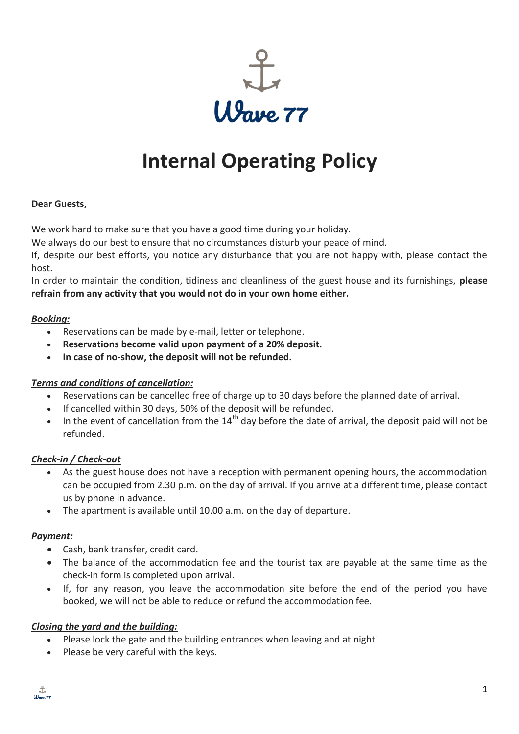

# **Internal Operating Policy**

#### **Dear Guests,**

We work hard to make sure that you have a good time during your holiday.

We always do our best to ensure that no circumstances disturb your peace of mind.

If, despite our best efforts, you notice any disturbance that you are not happy with, please contact the host.

In order to maintain the condition, tidiness and cleanliness of the guest house and its furnishings, **please refrain from any activity that you would not do in your own home either.**

#### *Booking:*

- Reservations can be made by e-mail, letter or telephone.
- **Reservations become valid upon payment of a 20% deposit.**
- **In case of no-show, the deposit will not be refunded.**

### *Terms and conditions of cancellation:*

- Reservations can be cancelled free of charge up to 30 days before the planned date of arrival.
- If cancelled within 30 days, 50% of the deposit will be refunded.
- In the event of cancellation from the  $14<sup>th</sup>$  day before the date of arrival, the deposit paid will not be refunded.

### *Check-in / Check-out*

- As the guest house does not have a reception with permanent opening hours, the accommodation can be occupied from 2.30 p.m. on the day of arrival. If you arrive at a different time, please contact us by phone in advance.
- The apartment is available until 10.00 a.m. on the day of departure.

#### *Payment:*

- Cash, bank transfer, credit card.
- The balance of the accommodation fee and the tourist tax are payable at the same time as the check-in form is completed upon arrival.
- If, for any reason, you leave the accommodation site before the end of the period you have booked, we will not be able to reduce or refund the accommodation fee.

### *Closing the yard and the building:*

- Please lock the gate and the building entrances when leaving and at night!
- Please be very careful with the keys.